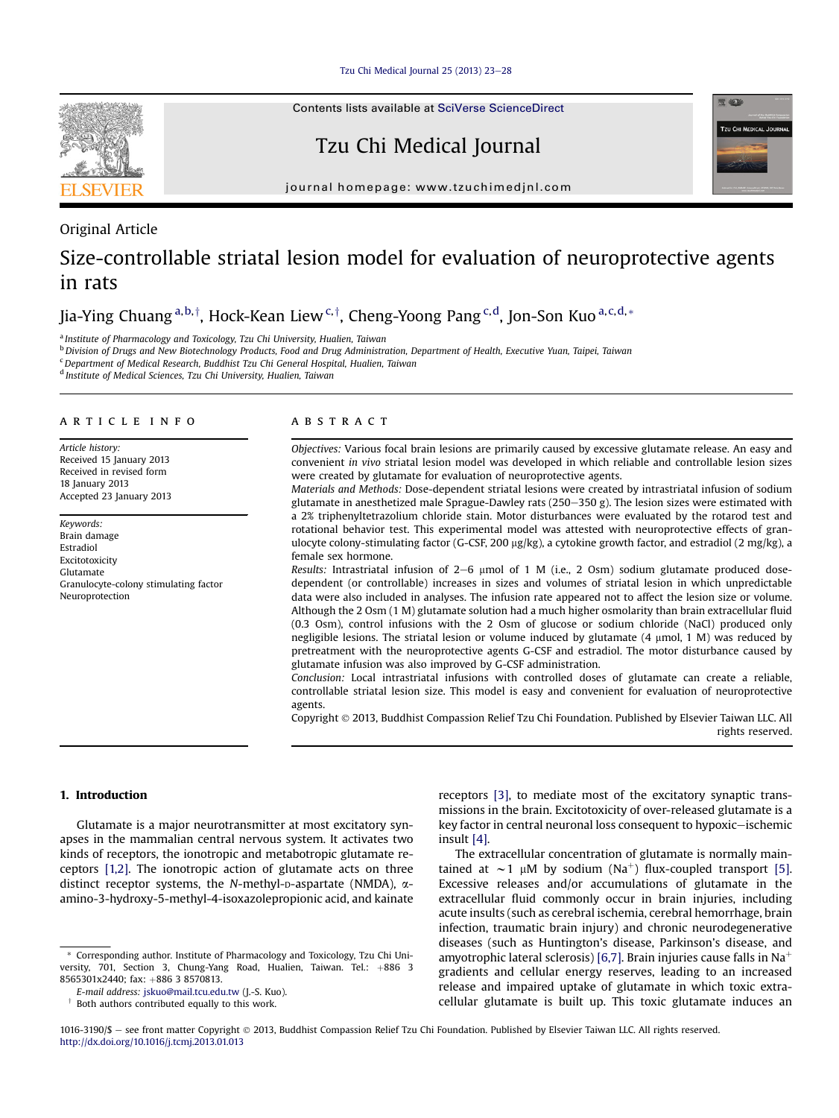Tzu Chi Medical Journal  $25$  (2013)  $23-28$  $23-28$ 

# Contents lists available at [SciVerse ScienceDirect](www.sciencedirect.com/science/journal/10163190)

Tzu Chi Medical Journal



journal homepage: [www.tzuchimedjnl.com](http://www.tzuchimedjnl.com)

# Original Article

# Size-controllable striatal lesion model for evaluation of neuroprotective agents in rats

Jia-Ying Chuang <sup>a,b,†</sup>, Hock-Kean Liew <sup>c,†</sup>, Cheng-Yoong Pang <sup>c,d</sup>, Jon-Son Kuo <sup>a,c,d,</sup>\*

<sup>a</sup> Institute of Pharmacology and Toxicology, Tzu Chi University, Hualien, Taiwan

<sup>b</sup> Division of Drugs and New Biotechnology Products, Food and Drug Administration, Department of Health, Executive Yuan, Taipei, Taiwan

<sup>c</sup>Department of Medical Research, Buddhist Tzu Chi General Hospital, Hualien, Taiwan

<sup>d</sup> Institute of Medical Sciences, Tzu Chi University, Hualien, Taiwan

### article info

Article history: Received 15 January 2013 Received in revised form 18 **January** 2013 Accepted 23 January 2013

Keywords: Brain damage Estradiol Excitotoxicity Glutamate Granulocyte-colony stimulating factor Neuroprotection

# ABSTRACT

Objectives: Various focal brain lesions are primarily caused by excessive glutamate release. An easy and convenient in vivo striatal lesion model was developed in which reliable and controllable lesion sizes were created by glutamate for evaluation of neuroprotective agents.

Materials and Methods: Dose-dependent striatal lesions were created by intrastriatal infusion of sodium glutamate in anesthetized male Sprague-Dawley rats  $(250-350 \text{ g})$ . The lesion sizes were estimated with a 2% triphenyltetrazolium chloride stain. Motor disturbances were evaluated by the rotarod test and rotational behavior test. This experimental model was attested with neuroprotective effects of granulocyte colony-stimulating factor (G-CSF, 200  $\mu$ g/kg), a cytokine growth factor, and estradiol (2 mg/kg), a female sex hormone.

Results: Intrastriatal infusion of  $2-6$  µmol of 1 M (i.e., 2 Osm) sodium glutamate produced dosedependent (or controllable) increases in sizes and volumes of striatal lesion in which unpredictable data were also included in analyses. The infusion rate appeared not to affect the lesion size or volume. Although the 2 Osm (1 M) glutamate solution had a much higher osmolarity than brain extracellular fluid (0.3 Osm), control infusions with the 2 Osm of glucose or sodium chloride (NaCl) produced only negligible lesions. The striatal lesion or volume induced by glutamate (4 mmol, 1 M) was reduced by pretreatment with the neuroprotective agents G-CSF and estradiol. The motor disturbance caused by glutamate infusion was also improved by G-CSF administration.

Conclusion: Local intrastriatal infusions with controlled doses of glutamate can create a reliable, controllable striatal lesion size. This model is easy and convenient for evaluation of neuroprotective agents.

Copyright 2013, Buddhist Compassion Relief Tzu Chi Foundation. Published by Elsevier Taiwan LLC. All rights reserved.

# 1. Introduction

Glutamate is a major neurotransmitter at most excitatory synapses in the mammalian central nervous system. It activates two kinds of receptors, the ionotropic and metabotropic glutamate receptors [\[1,2\]](#page-5-0). The ionotropic action of glutamate acts on three distinct receptor systems, the N-methyl-p-aspartate (NMDA),  $\alpha$ amino-3-hydroxy-5-methyl-4-isoxazolepropionic acid, and kainate receptors [\[3\]](#page-5-0), to mediate most of the excitatory synaptic transmissions in the brain. Excitotoxicity of over-released glutamate is a key factor in central neuronal loss consequent to hypoxic-ischemic insult [\[4\].](#page-5-0)

The extracellular concentration of glutamate is normally maintained at  $\sim$  1 µM by sodium (Na<sup>+</sup>) flux-coupled transport [\[5\].](#page-5-0) Excessive releases and/or accumulations of glutamate in the extracellular fluid commonly occur in brain injuries, including acute insults (such as cerebral ischemia, cerebral hemorrhage, brain infection, traumatic brain injury) and chronic neurodegenerative diseases (such as Huntington's disease, Parkinson's disease, and amyotrophic lateral sclerosis) [\[6,7\]](#page-5-0). Brain injuries cause falls in Na<sup>+</sup> gradients and cellular energy reserves, leading to an increased release and impaired uptake of glutamate in which toxic extracellular glutamate is built up. This toxic glutamate induces an

<sup>\*</sup> Corresponding author. Institute of Pharmacology and Toxicology, Tzu Chi University, 701, Section 3, Chung-Yang Road, Hualien, Taiwan. Tel.: +886 3 8565301x2440; fax: +886 3 8570813.

E-mail address: [jskuo@mail.tcu.edu.tw](mailto:jskuo@mail.tcu.edu.tw) (J.-S. Kuo).

Both authors contributed equally to this work.

<sup>1016-3190/\$ -</sup> see front matter Copyright © 2013, Buddhist Compassion Relief Tzu Chi Foundation. Published by Elsevier Taiwan LLC. All rights reserved. <http://dx.doi.org/10.1016/j.tcmj.2013.01.013>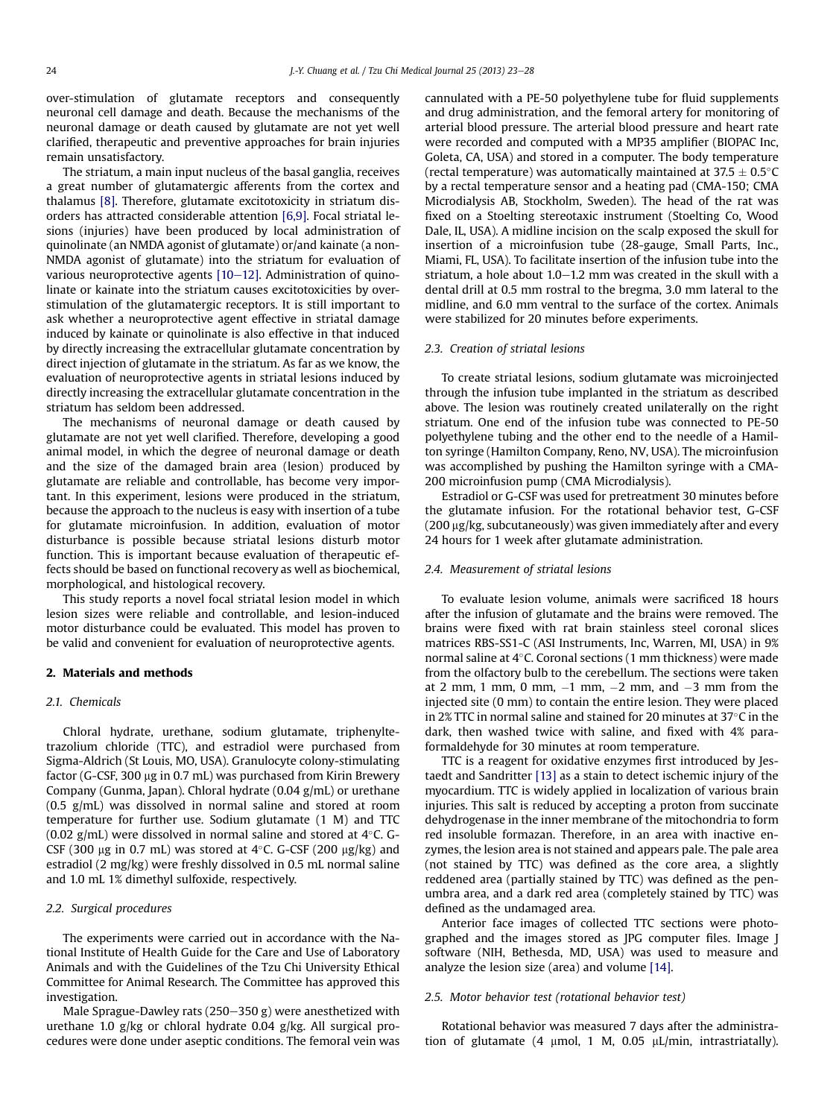over-stimulation of glutamate receptors and consequently neuronal cell damage and death. Because the mechanisms of the neuronal damage or death caused by glutamate are not yet well clarified, therapeutic and preventive approaches for brain injuries remain unsatisfactory.

The striatum, a main input nucleus of the basal ganglia, receives a great number of glutamatergic afferents from the cortex and thalamus [\[8\].](#page-5-0) Therefore, glutamate excitotoxicity in striatum disorders has attracted considerable attention [\[6,9\].](#page-5-0) Focal striatal lesions (injuries) have been produced by local administration of quinolinate (an NMDA agonist of glutamate) or/and kainate (a non-NMDA agonist of glutamate) into the striatum for evaluation of various neuroprotective agents  $[10-12]$  $[10-12]$ . Administration of quinolinate or kainate into the striatum causes excitotoxicities by overstimulation of the glutamatergic receptors. It is still important to ask whether a neuroprotective agent effective in striatal damage induced by kainate or quinolinate is also effective in that induced by directly increasing the extracellular glutamate concentration by direct injection of glutamate in the striatum. As far as we know, the evaluation of neuroprotective agents in striatal lesions induced by directly increasing the extracellular glutamate concentration in the striatum has seldom been addressed.

The mechanisms of neuronal damage or death caused by glutamate are not yet well clarified. Therefore, developing a good animal model, in which the degree of neuronal damage or death and the size of the damaged brain area (lesion) produced by glutamate are reliable and controllable, has become very important. In this experiment, lesions were produced in the striatum, because the approach to the nucleus is easy with insertion of a tube for glutamate microinfusion. In addition, evaluation of motor disturbance is possible because striatal lesions disturb motor function. This is important because evaluation of therapeutic effects should be based on functional recovery as well as biochemical, morphological, and histological recovery.

This study reports a novel focal striatal lesion model in which lesion sizes were reliable and controllable, and lesion-induced motor disturbance could be evaluated. This model has proven to be valid and convenient for evaluation of neuroprotective agents.

# 2. Materials and methods

### 2.1. Chemicals

Chloral hydrate, urethane, sodium glutamate, triphenyltetrazolium chloride (TTC), and estradiol were purchased from Sigma-Aldrich (St Louis, MO, USA). Granulocyte colony-stimulating factor (G-CSF, 300  $\mu$ g in 0.7 mL) was purchased from Kirin Brewery Company (Gunma, Japan). Chloral hydrate (0.04 g/mL) or urethane (0.5 g/mL) was dissolved in normal saline and stored at room temperature for further use. Sodium glutamate (1 M) and TTC (0.02 g/mL) were dissolved in normal saline and stored at 4°C. G-CSF (300  $\mu$ g in 0.7 mL) was stored at 4°C. G-CSF (200  $\mu$ g/kg) and estradiol (2 mg/kg) were freshly dissolved in 0.5 mL normal saline and 1.0 mL 1% dimethyl sulfoxide, respectively.

# 2.2. Surgical procedures

The experiments were carried out in accordance with the National Institute of Health Guide for the Care and Use of Laboratory Animals and with the Guidelines of the Tzu Chi University Ethical Committee for Animal Research. The Committee has approved this investigation.

Male Sprague-Dawley rats (250-350 g) were anesthetized with urethane 1.0 g/kg or chloral hydrate 0.04 g/kg. All surgical procedures were done under aseptic conditions. The femoral vein was cannulated with a PE-50 polyethylene tube for fluid supplements and drug administration, and the femoral artery for monitoring of arterial blood pressure. The arterial blood pressure and heart rate were recorded and computed with a MP35 amplifier (BIOPAC Inc, Goleta, CA, USA) and stored in a computer. The body temperature (rectal temperature) was automatically maintained at 37.5  $\pm$  0.5 $^{\circ}$ C by a rectal temperature sensor and a heating pad (CMA-150; CMA Microdialysis AB, Stockholm, Sweden). The head of the rat was fixed on a Stoelting stereotaxic instrument (Stoelting Co, Wood Dale, IL, USA). A midline incision on the scalp exposed the skull for insertion of a microinfusion tube (28-gauge, Small Parts, Inc., Miami, FL, USA). To facilitate insertion of the infusion tube into the striatum, a hole about  $1.0-1.2$  mm was created in the skull with a dental drill at 0.5 mm rostral to the bregma, 3.0 mm lateral to the midline, and 6.0 mm ventral to the surface of the cortex. Animals were stabilized for 20 minutes before experiments.

#### 2.3. Creation of striatal lesions

To create striatal lesions, sodium glutamate was microinjected through the infusion tube implanted in the striatum as described above. The lesion was routinely created unilaterally on the right striatum. One end of the infusion tube was connected to PE-50 polyethylene tubing and the other end to the needle of a Hamilton syringe (Hamilton Company, Reno, NV, USA). The microinfusion was accomplished by pushing the Hamilton syringe with a CMA-200 microinfusion pump (CMA Microdialysis).

Estradiol or G-CSF was used for pretreatment 30 minutes before the glutamate infusion. For the rotational behavior test, G-CSF  $(200 \,\mu g/kg,$  subcutaneously) was given immediately after and every 24 hours for 1 week after glutamate administration.

# 2.4. Measurement of striatal lesions

To evaluate lesion volume, animals were sacrificed 18 hours after the infusion of glutamate and the brains were removed. The brains were fixed with rat brain stainless steel coronal slices matrices RBS-SS1-C (ASI Instruments, Inc, Warren, MI, USA) in 9% normal saline at 4°C. Coronal sections (1 mm thickness) were made from the olfactory bulb to the cerebellum. The sections were taken at 2 mm, 1 mm, 0 mm,  $-1$  mm,  $-2$  mm, and  $-3$  mm from the injected site (0 mm) to contain the entire lesion. They were placed in 2% TTC in normal saline and stained for 20 minutes at 37°C in the dark, then washed twice with saline, and fixed with 4% paraformaldehyde for 30 minutes at room temperature.

TTC is a reagent for oxidative enzymes first introduced by Jestaedt and Sandritter [\[13\]](#page-5-0) as a stain to detect ischemic injury of the myocardium. TTC is widely applied in localization of various brain injuries. This salt is reduced by accepting a proton from succinate dehydrogenase in the inner membrane of the mitochondria to form red insoluble formazan. Therefore, in an area with inactive enzymes, the lesion area is not stained and appears pale. The pale area (not stained by TTC) was defined as the core area, a slightly reddened area (partially stained by TTC) was defined as the penumbra area, and a dark red area (completely stained by TTC) was defined as the undamaged area.

Anterior face images of collected TTC sections were photographed and the images stored as JPG computer files. Image J software (NIH, Bethesda, MD, USA) was used to measure and analyze the lesion size (area) and volume [\[14\]](#page-5-0).

# 2.5. Motor behavior test (rotational behavior test)

Rotational behavior was measured 7 days after the administration of glutamate (4  $\mu$ mol, 1 M, 0.05  $\mu$ L/min, intrastriatally).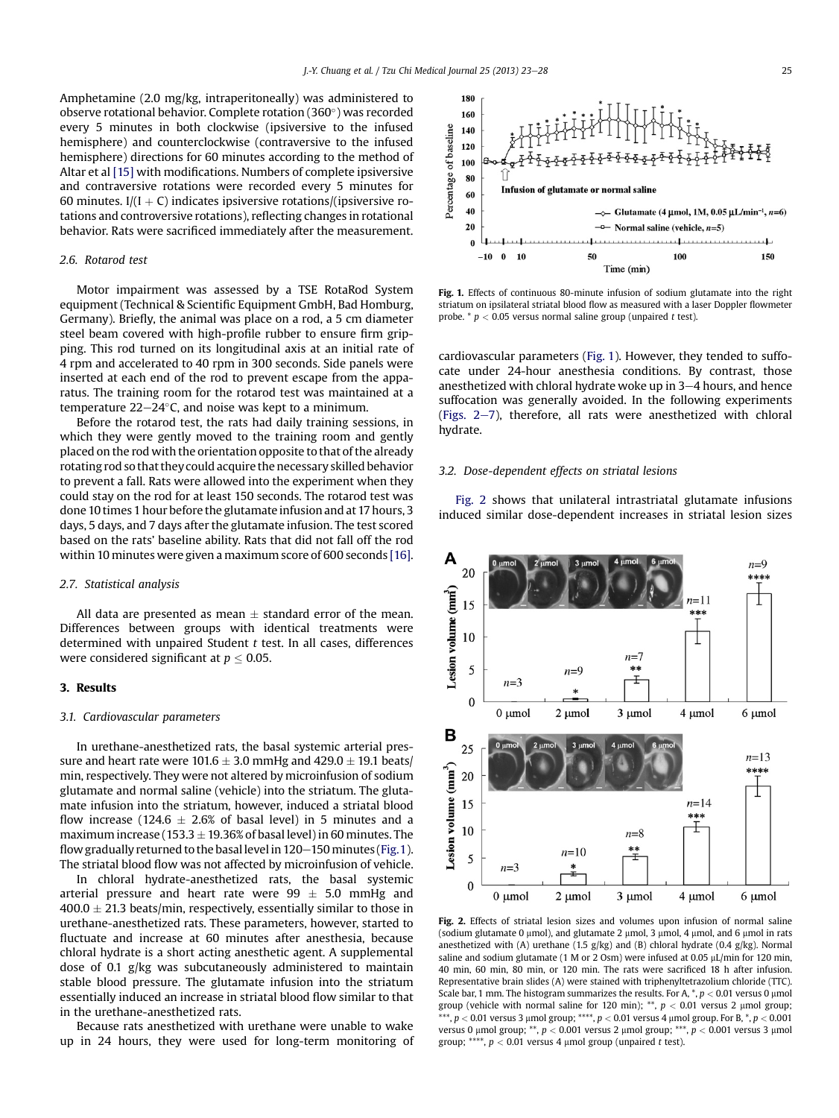<span id="page-2-0"></span>Amphetamine (2.0 mg/kg, intraperitoneally) was administered to observe rotational behavior. Complete rotation (360°) was recorded every 5 minutes in both clockwise (ipsiversive to the infused hemisphere) and counterclockwise (contraversive to the infused hemisphere) directions for 60 minutes according to the method of Altar et al [\[15\]](#page-5-0) with modifications. Numbers of complete ipsiversive and contraversive rotations were recorded every 5 minutes for 60 minutes. I/ $(I + C)$  indicates ipsiversive rotations/(ipsiversive rotations and controversive rotations), reflecting changes in rotational behavior. Rats were sacrificed immediately after the measurement.

# 2.6. Rotarod test

Motor impairment was assessed by a TSE RotaRod System equipment (Technical & Scientific Equipment GmbH, Bad Homburg, Germany). Briefly, the animal was place on a rod, a 5 cm diameter steel beam covered with high-profile rubber to ensure firm gripping. This rod turned on its longitudinal axis at an initial rate of 4 rpm and accelerated to 40 rpm in 300 seconds. Side panels were inserted at each end of the rod to prevent escape from the apparatus. The training room for the rotarod test was maintained at a temperature 22–24°C, and noise was kept to a minimum.

Before the rotarod test, the rats had daily training sessions, in which they were gently moved to the training room and gently placed on the rod with the orientation opposite to that of the already rotating rod so that they could acquire the necessary skilled behavior to prevent a fall. Rats were allowed into the experiment when they could stay on the rod for at least 150 seconds. The rotarod test was done 10 times 1 hour before the glutamate infusion and at 17 hours, 3 days, 5 days, and 7 days after the glutamate infusion. The test scored based on the rats' baseline ability. Rats that did not fall off the rod within 10 minutes were given a maximum score of 600 seconds [\[16\].](#page-5-0)

## 2.7. Statistical analysis

All data are presented as mean  $\pm$  standard error of the mean. Differences between groups with identical treatments were determined with unpaired Student  $t$  test. In all cases, differences were considered significant at  $p \leq 0.05$ .

### 3. Results

#### 3.1. Cardiovascular parameters

In urethane-anesthetized rats, the basal systemic arterial pressure and heart rate were  $101.6 \pm 3.0$  mmHg and  $429.0 \pm 19.1$  beats/ min, respectively. They were not altered by microinfusion of sodium glutamate and normal saline (vehicle) into the striatum. The glutamate infusion into the striatum, however, induced a striatal blood flow increase (124.6  $\pm$  2.6% of basal level) in 5 minutes and a maximum increase (153.3  $\pm$  19.36% of basal level) in 60 minutes. The flow gradually returned to the basal level in  $120-150$  minutes (Fig. 1). The striatal blood flow was not affected by microinfusion of vehicle.

In chloral hydrate-anesthetized rats, the basal systemic arterial pressure and heart rate were  $99 \pm 5.0$  mmHg and  $400.0 \pm 21.3$  beats/min, respectively, essentially similar to those in urethane-anesthetized rats. These parameters, however, started to fluctuate and increase at 60 minutes after anesthesia, because chloral hydrate is a short acting anesthetic agent. A supplemental dose of 0.1 g/kg was subcutaneously administered to maintain stable blood pressure. The glutamate infusion into the striatum essentially induced an increase in striatal blood flow similar to that in the urethane-anesthetized rats.

Because rats anesthetized with urethane were unable to wake up in 24 hours, they were used for long-term monitoring of



Fig. 1. Effects of continuous 80-minute infusion of sodium glutamate into the right striatum on ipsilateral striatal blood flow as measured with a laser Doppler flowmeter probe.  $* p < 0.05$  versus normal saline group (unpaired t test).

cardiovascular parameters (Fig. 1). However, they tended to suffocate under 24-hour anesthesia conditions. By contrast, those anesthetized with chloral hydrate woke up in  $3-4$  hours, and hence suffocation was generally avoided. In the following experiments (Figs.  $2-7$ ), therefore, all rats were anesthetized with chloral hydrate.

# 3.2. Dose-dependent effects on striatal lesions

Fig. 2 shows that unilateral intrastriatal glutamate infusions induced similar dose-dependent increases in striatal lesion sizes



Fig. 2. Effects of striatal lesion sizes and volumes upon infusion of normal saline (sodium glutamate 0  $\mu$ mol), and glutamate 2  $\mu$ mol, 3  $\mu$ mol, 4  $\mu$ mol, and 6  $\mu$ mol in rats anesthetized with (A) urethane (1.5 g/kg) and (B) chloral hydrate (0.4 g/kg). Normal saline and sodium glutamate (1 M or 2 Osm) were infused at 0.05  $\mu$ L/min for 120 min, 40 min, 60 min, 80 min, or 120 min. The rats were sacrificed 18 h after infusion. Representative brain slides (A) were stained with triphenyltetrazolium chloride (TTC). Scale bar, 1 mm. The histogram summarizes the results. For A, \*,  $p < 0.01$  versus 0 µmol group (vehicle with normal saline for 120 min);  $**$ ,  $p < 0.01$  versus 2 µmol group; \*\*\*,  $p < 0.01$  versus 3  $\mu$ mol group; \*\*\*\*,  $p < 0.01$  versus 4  $\mu$ mol group. For B, \*,  $p < 0.001$ versus 0  $\mu$ mol group; \*\*,  $p < 0.001$  versus 2  $\mu$ mol group; \*\*\*,  $p < 0.001$  versus 3  $\mu$ mol group; \*\*\*\*,  $p < 0.01$  versus 4 µmol group (unpaired t test).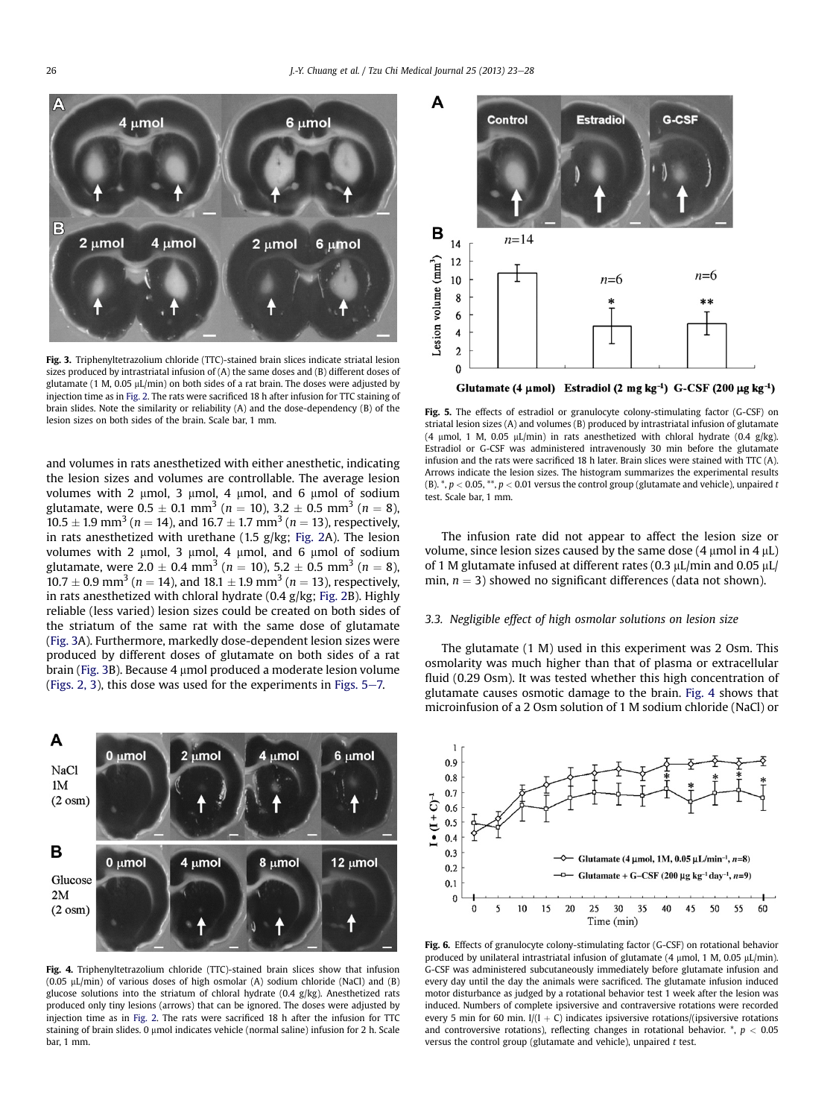<span id="page-3-0"></span>

Fig. 3. Triphenyltetrazolium chloride (TTC)-stained brain slices indicate striatal lesion sizes produced by intrastriatal infusion of (A) the same doses and (B) different doses of glutamate (1 M, 0.05  $\mu$ L/min) on both sides of a rat brain. The doses were adjusted by injection time as in [Fig. 2.](#page-2-0) The rats were sacrificed 18 h after infusion for TTC staining of brain slides. Note the similarity or reliability (A) and the dose-dependency (B) of the lesion sizes on both sides of the brain. Scale bar, 1 mm.

and volumes in rats anesthetized with either anesthetic, indicating the lesion sizes and volumes are controllable. The average lesion volumes with 2  $\mu$ mol, 3  $\mu$ mol, 4  $\mu$ mol, and 6  $\mu$ mol of sodium glutamate, were  $0.5 \pm 0.1 \text{ mm}^3$  ( $n = 10$ ),  $3.2 \pm 0.5 \text{ mm}^3$  ( $n = 8$ ),  $10.5 \pm 1.9$  mm<sup>3</sup> (*n* = 14), and 16.7  $\pm$  1.7 mm<sup>3</sup> (*n* = 13), respectively, in rats anesthetized with urethane (1.5 g/kg; [Fig. 2A](#page-2-0)). The lesion volumes with 2  $\mu$ mol, 3  $\mu$ mol, 4  $\mu$ mol, and 6  $\mu$ mol of sodium glutamate, were  $2.0 \pm 0.4$  mm<sup>3</sup> (n = 10),  $5.2 \pm 0.5$  mm<sup>3</sup> (n = 8),  $10.7 \pm 0.9$  mm<sup>3</sup> ( $n = 14$ ), and  $18.1 \pm 1.9$  mm<sup>3</sup> ( $n = 13$ ), respectively, in rats anesthetized with chloral hydrate (0.4 g/kg; [Fig. 2B](#page-2-0)). Highly reliable (less varied) lesion sizes could be created on both sides of the striatum of the same rat with the same dose of glutamate (Fig. 3A). Furthermore, markedly dose-dependent lesion sizes were produced by different doses of glutamate on both sides of a rat brain (Fig. 3B). Because 4 µmol produced a moderate lesion volume ([Figs. 2, 3\)](#page-2-0), this dose was used for the experiments in Figs.  $5-7$ .



Fig. 4. Triphenyltetrazolium chloride (TTC)-stained brain slices show that infusion  $(0.05 \text{ uL/min})$  of various doses of high osmolar  $(A)$  sodium chloride (NaCl) and  $(B)$ glucose solutions into the striatum of chloral hydrate (0.4 g/kg). Anesthetized rats produced only tiny lesions (arrows) that can be ignored. The doses were adjusted by injection time as in [Fig. 2](#page-2-0). The rats were sacrificed 18 h after the infusion for TTC staining of brain slides. 0  $\mu$ mol indicates vehicle (normal saline) infusion for 2 h. Scale bar, 1 mm.



Glutamate (4  $\mu$ mol) Estradiol (2 mg kg<sup>-1</sup>) G-CSF (200  $\mu$ g kg<sup>-1</sup>)

Fig. 5. The effects of estradiol or granulocyte colony-stimulating factor (G-CSF) on striatal lesion sizes (A) and volumes (B) produced by intrastriatal infusion of glutamate (4 µmol, 1 M, 0.05 µL/min) in rats anesthetized with chloral hydrate (0.4 g/kg). Estradiol or G-CSF was administered intravenously 30 min before the glutamate infusion and the rats were sacrificed 18 h later. Brain slices were stained with TTC (A). Arrows indicate the lesion sizes. The histogram summarizes the experimental results (B).  $^*$ ,  $p < 0.05$ ,  $^{**}$ ,  $p < 0.01$  versus the control group (glutamate and vehicle), unpaired t test. Scale bar, 1 mm.

The infusion rate did not appear to affect the lesion size or volume, since lesion sizes caused by the same dose  $(4 \mu mol \text{ in } 4 \mu L)$ of 1 M glutamate infused at different rates (0.3  $\mu$ L/min and 0.05  $\mu$ L/ min,  $n = 3$ ) showed no significant differences (data not shown).

# 3.3. Negligible effect of high osmolar solutions on lesion size

The glutamate (1 M) used in this experiment was 2 Osm. This osmolarity was much higher than that of plasma or extracellular fluid (0.29 Osm). It was tested whether this high concentration of glutamate causes osmotic damage to the brain. Fig. 4 shows that microinfusion of a 2 Osm solution of 1 M sodium chloride (NaCl) or



Fig. 6. Effects of granulocyte colony-stimulating factor (G-CSF) on rotational behavior produced by unilateral intrastriatal infusion of glutamate (4  $\mu$ mol, 1 M, 0.05  $\mu$ L/min). G-CSF was administered subcutaneously immediately before glutamate infusion and every day until the day the animals were sacrificed. The glutamate infusion induced motor disturbance as judged by a rotational behavior test 1 week after the lesion was induced. Numbers of complete ipsiversive and contraversive rotations were recorded every 5 min for 60 min.  $I/(I + C)$  indicates ipsiversive rotations/(ipsiversive rotations and controversive rotations), reflecting changes in rotational behavior.  $^*$ ,  $p < 0.05$ versus the control group (glutamate and vehicle), unpaired  $t$  test.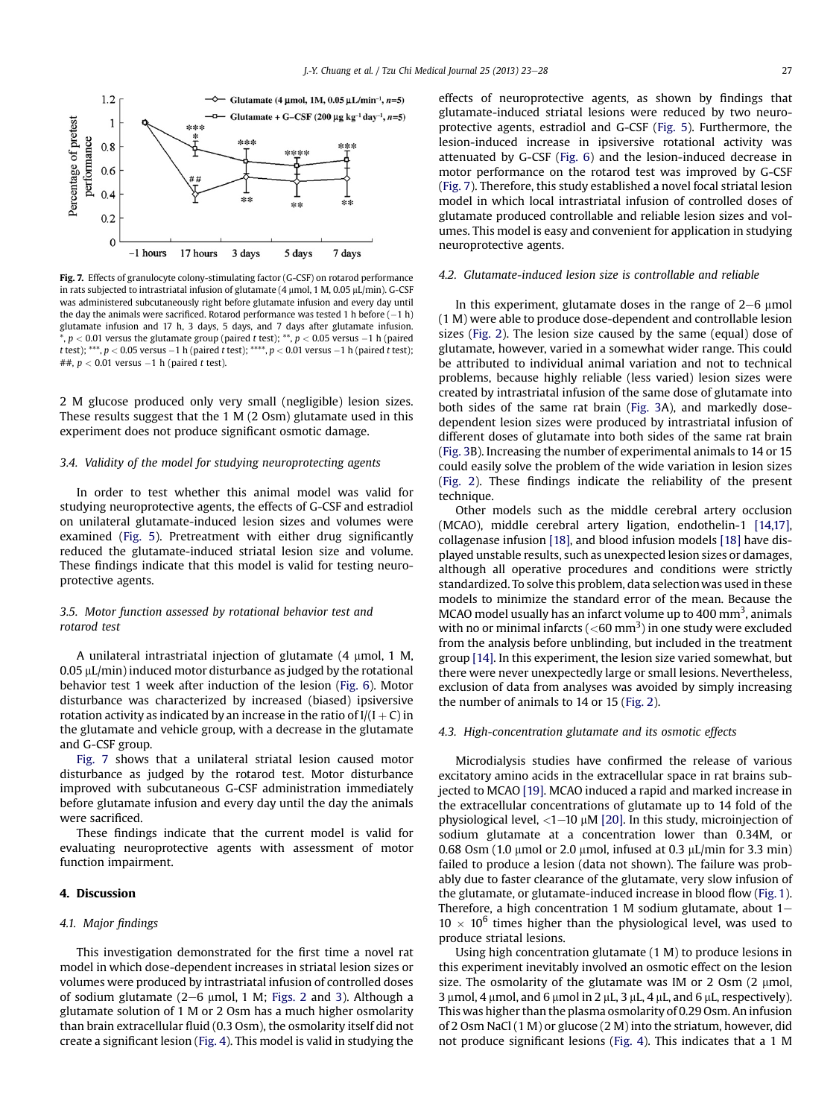

Fig. 7. Effects of granulocyte colony-stimulating factor (G-CSF) on rotarod performance in rats subjected to intrastriatal infusion of glutamate (4  $\mu$ mol, 1 M, 0.05  $\mu$ L/min). G-CSF was administered subcutaneously right before glutamate infusion and every day until the day the animals were sacrificed. Rotarod performance was tested 1 h before  $(-1 h)$ glutamate infusion and 17 h, 3 days, 5 days, and 7 days after glutamate infusion. \*,  $p < 0.01$  versus the glutamate group (paired t test); \*\*,  $p < 0.05$  versus -1 h (paired t test); \*\*\*,  $p < 0.05$  versus  $-1$  h (paired t test); \*\*\*\*,  $p < 0.01$  versus  $-1$  h (paired t test); ##,  $p < 0.01$  versus  $-1$  h (paired t test).

2 M glucose produced only very small (negligible) lesion sizes. These results suggest that the 1 M (2 Osm) glutamate used in this experiment does not produce significant osmotic damage.

# 3.4. Validity of the model for studying neuroprotecting agents

In order to test whether this animal model was valid for studying neuroprotective agents, the effects of G-CSF and estradiol on unilateral glutamate-induced lesion sizes and volumes were examined ([Fig. 5](#page-3-0)). Pretreatment with either drug significantly reduced the glutamate-induced striatal lesion size and volume. These findings indicate that this model is valid for testing neuroprotective agents.

# 3.5. Motor function assessed by rotational behavior test and rotarod test

A unilateral intrastriatal injection of glutamate  $(4 \mu$ mol,  $1 \text{ M}$ ,  $0.05 \mu L/min$ ) induced motor disturbance as judged by the rotational behavior test 1 week after induction of the lesion ([Fig. 6](#page-3-0)). Motor disturbance was characterized by increased (biased) ipsiversive rotation activity as indicated by an increase in the ratio of  $I/(I + C)$  in the glutamate and vehicle group, with a decrease in the glutamate and G-CSF group.

Fig. 7 shows that a unilateral striatal lesion caused motor disturbance as judged by the rotarod test. Motor disturbance improved with subcutaneous G-CSF administration immediately before glutamate infusion and every day until the day the animals were sacrificed.

These findings indicate that the current model is valid for evaluating neuroprotective agents with assessment of motor function impairment.

# 4. Discussion

# 4.1. Major findings

This investigation demonstrated for the first time a novel rat model in which dose-dependent increases in striatal lesion sizes or volumes were produced by intrastriatal infusion of controlled doses of sodium glutamate  $(2-6 \mu \text{mol}, 1 \text{M}; \text{Figs. 2}$  $(2-6 \mu \text{mol}, 1 \text{M}; \text{Figs. 2}$  $(2-6 \mu \text{mol}, 1 \text{M}; \text{Figs. 2}$  and [3](#page-3-0)). Although a glutamate solution of 1 M or 2 Osm has a much higher osmolarity than brain extracellular fluid (0.3 Osm), the osmolarity itself did not create a significant lesion [\(Fig. 4](#page-3-0)). This model is valid in studying the effects of neuroprotective agents, as shown by findings that glutamate-induced striatal lesions were reduced by two neuroprotective agents, estradiol and G-CSF ([Fig. 5](#page-3-0)). Furthermore, the lesion-induced increase in ipsiversive rotational activity was attenuated by G-CSF ([Fig. 6\)](#page-3-0) and the lesion-induced decrease in motor performance on the rotarod test was improved by G-CSF (Fig. 7). Therefore, this study established a novel focal striatal lesion model in which local intrastriatal infusion of controlled doses of glutamate produced controllable and reliable lesion sizes and volumes. This model is easy and convenient for application in studying neuroprotective agents.

# 4.2. Glutamate-induced lesion size is controllable and reliable

In this experiment, glutamate doses in the range of  $2-6$  µmol (1 M) were able to produce dose-dependent and controllable lesion sizes ([Fig. 2\)](#page-2-0). The lesion size caused by the same (equal) dose of glutamate, however, varied in a somewhat wider range. This could be attributed to individual animal variation and not to technical problems, because highly reliable (less varied) lesion sizes were created by intrastriatal infusion of the same dose of glutamate into both sides of the same rat brain [\(Fig. 3A](#page-3-0)), and markedly dosedependent lesion sizes were produced by intrastriatal infusion of different doses of glutamate into both sides of the same rat brain ([Fig. 3B](#page-3-0)). Increasing the number of experimental animals to 14 or 15 could easily solve the problem of the wide variation in lesion sizes ([Fig. 2](#page-2-0)). These findings indicate the reliability of the present technique.

Other models such as the middle cerebral artery occlusion (MCAO), middle cerebral artery ligation, endothelin-1 [\[14,17\],](#page-5-0) collagenase infusion [\[18\],](#page-5-0) and blood infusion models [\[18\]](#page-5-0) have displayed unstable results, such as unexpected lesion sizes or damages, although all operative procedures and conditions were strictly standardized. To solve this problem, data selection was used in these models to minimize the standard error of the mean. Because the MCAO model usually has an infarct volume up to 400 mm<sup>3</sup>, animals with no or minimal infarcts ( ${<}60$  mm<sup>3</sup>) in one study were excluded from the analysis before unblinding, but included in the treatment group [\[14\]](#page-5-0). In this experiment, the lesion size varied somewhat, but there were never unexpectedly large or small lesions. Nevertheless, exclusion of data from analyses was avoided by simply increasing the number of animals to 14 or 15 [\(Fig. 2](#page-2-0)).

# 4.3. High-concentration glutamate and its osmotic effects

Microdialysis studies have confirmed the release of various excitatory amino acids in the extracellular space in rat brains subjected to MCAO [\[19\]](#page-5-0). MCAO induced a rapid and marked increase in the extracellular concentrations of glutamate up to 14 fold of the physiological level,  $\langle 1-10 \mu M$  [\[20\]](#page-5-0). In this study, microinjection of sodium glutamate at a concentration lower than 0.34M, or 0.68 Osm (1.0  $\mu$ mol or 2.0  $\mu$ mol, infused at 0.3  $\mu$ L/min for 3.3 min) failed to produce a lesion (data not shown). The failure was probably due to faster clearance of the glutamate, very slow infusion of the glutamate, or glutamate-induced increase in blood flow ([Fig. 1\)](#page-2-0). Therefore, a high concentration 1 M sodium glutamate, about  $1 10 \times 10^6$  times higher than the physiological level, was used to produce striatal lesions.

Using high concentration glutamate (1 M) to produce lesions in this experiment inevitably involved an osmotic effect on the lesion size. The osmolarity of the glutamate was IM or 2 Osm  $(2 \mu \text{mol})$ ,  $3 \mu$ mol, 4  $\mu$ mol, and 6  $\mu$ mol in 2  $\mu$ L, 3  $\mu$ L, 4  $\mu$ L, and 6  $\mu$ L, respectively). This was higher than the plasma osmolarity of 0.29 Osm. An infusion of 2 Osm NaCl (1 M) or glucose (2 M) into the striatum, however, did not produce significant lesions [\(Fig. 4](#page-3-0)). This indicates that a 1 M